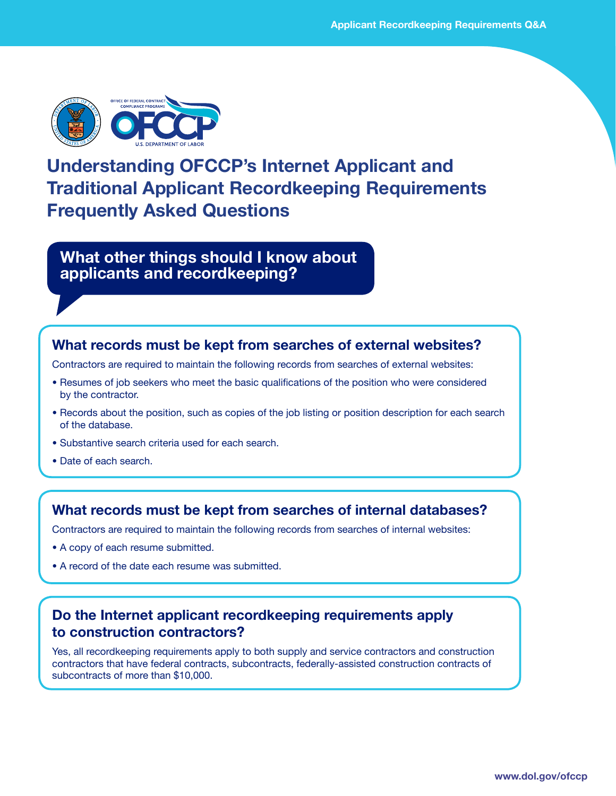

# **Understanding OFCCP's Internet Applicant and Traditional Applicant Recordkeeping Requirements Frequently Asked Questions**

**What other things should I know about applicants and recordkeeping?**

### **What records must be kept from searches of external websites?**

Contractors are required to maintain the following records from searches of external websites:

- Resumes of job seekers who meet the basic qualifications of the position who were considered by the contractor.
- Records about the position, such as copies of the job listing or position description for each search of the database.
- Substantive search criteria used for each search.
- Date of each search.

#### **What records must be kept from searches of internal databases?**

Contractors are required to maintain the following records from searches of internal websites:

- A copy of each resume submitted.
- A record of the date each resume was submitted.

#### **Do the Internet applicant recordkeeping requirements apply to construction contractors?**

Yes, all recordkeeping requirements apply to both supply and service contractors and construction contractors that have federal contracts, subcontracts, federally-assisted construction contracts of subcontracts of more than \$10,000.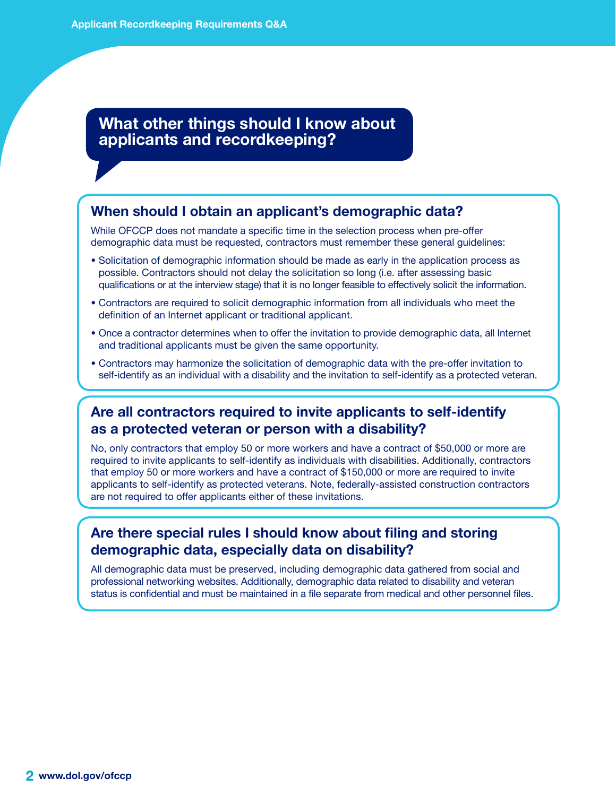# **What other things should I know about applicants and recordkeeping?**

#### **When should I obtain an applicant's demographic data?**

While OFCCP does not mandate a specific time in the selection process when pre-offer demographic data must be requested, contractors must remember these general guidelines:

- Solicitation of demographic information should be made as early in the application process as possible. Contractors should not delay the solicitation so long (i.e. after assessing basic qualifications or at the interview stage) that it is no longer feasible to effectively solicit the information.
- Contractors are required to solicit demographic information from all individuals who meet the definition of an Internet applicant or traditional applicant.
- Once a contractor determines when to offer the invitation to provide demographic data, all Internet and traditional applicants must be given the same opportunity.
- Contractors may harmonize the solicitation of demographic data with the pre-offer invitation to self-identify as an individual with a disability and the invitation to self-identify as a protected veteran.

#### **Are all contractors required to invite applicants to self-identify as a protected veteran or person with a disability?**

No, only contractors that employ 50 or more workers and have a contract of \$50,000 or more are required to invite applicants to self-identify as individuals with disabilities. Additionally, contractors that employ 50 or more workers and have a contract of \$150,000 or more are required to invite applicants to self-identify as protected veterans. Note, federally-assisted construction contractors are not required to offer applicants either of these invitations.

### **Are there special rules I should know about filing and storing demographic data, especially data on disability?**

All demographic data must be preserved, including demographic data gathered from social and professional networking websites. Additionally, demographic data related to disability and veteran status is confidential and must be maintained in a file separate from medical and other personnel files.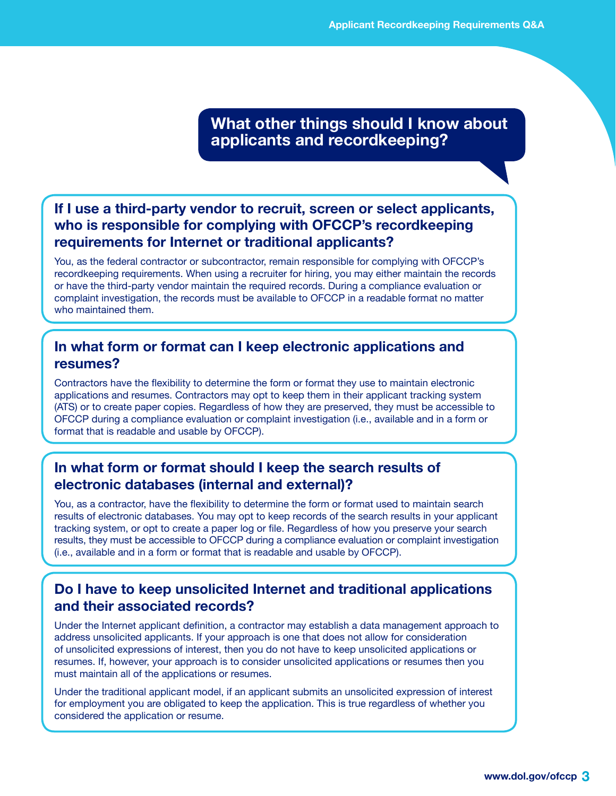**What other things should I know about applicants and recordkeeping?**

# **If I use a third-party vendor to recruit, screen or select applicants, who is responsible for complying with OFCCP's recordkeeping requirements for Internet or traditional applicants?**

You, as the federal contractor or subcontractor, remain responsible for complying with OFCCP's recordkeeping requirements. When using a recruiter for hiring, you may either maintain the records or have the third-party vendor maintain the required records. During a compliance evaluation or complaint investigation, the records must be available to OFCCP in a readable format no matter who maintained them.

# **In what form or format can I keep electronic applications and resumes?**

Contractors have the flexibility to determine the form or format they use to maintain electronic applications and resumes. Contractors may opt to keep them in their applicant tracking system (ATS) or to create paper copies. Regardless of how they are preserved, they must be accessible to OFCCP during a compliance evaluation or complaint investigation (i.e., available and in a form or format that is readable and usable by OFCCP).

# **In what form or format should I keep the search results of electronic databases (internal and external)?**

You, as a contractor, have the flexibility to determine the form or format used to maintain search results of electronic databases. You may opt to keep records of the search results in your applicant tracking system, or opt to create a paper log or file. Regardless of how you preserve your search results, they must be accessible to OFCCP during a compliance evaluation or complaint investigation (i.e., available and in a form or format that is readable and usable by OFCCP).

### **Do I have to keep unsolicited Internet and traditional applications and their associated records?**

Under the Internet applicant definition, a contractor may establish a data management approach to address unsolicited applicants. If your approach is one that does not allow for consideration of unsolicited expressions of interest, then you do not have to keep unsolicited applications or resumes. If, however, your approach is to consider unsolicited applications or resumes then you must maintain all of the applications or resumes.

Under the traditional applicant model, if an applicant submits an unsolicited expression of interest for employment you are obligated to keep the application. This is true regardless of whether you considered the application or resume.